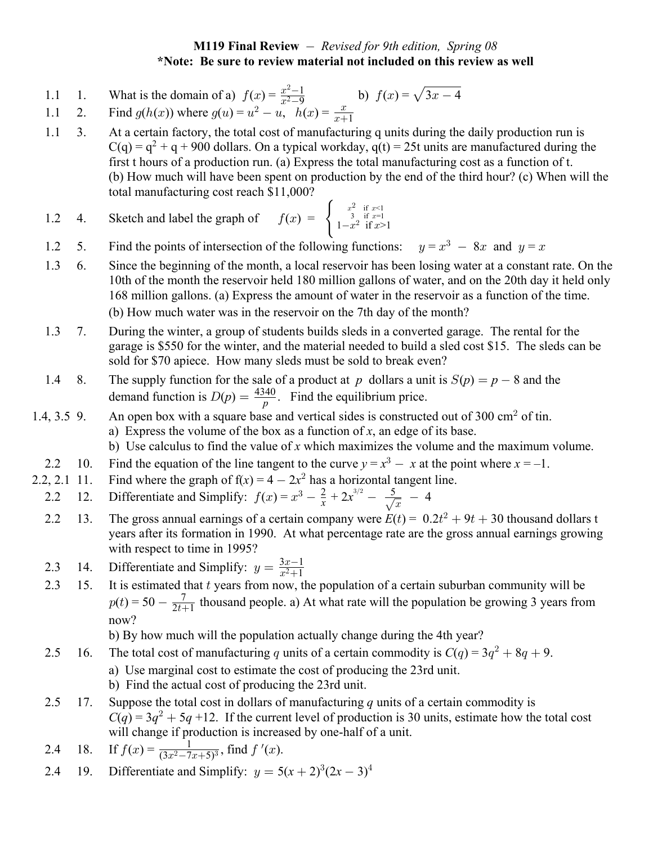## **M119 Final Review**  *Revised for 9th edition, Spring 08* **\*Note: Be sure to review material not included on this review as well**

- 1.1 1. What is the domain of a)  $f(x) = \frac{x^2-1}{x^2-9}$  b)  $f(x) = \sqrt{3x-4}$  $\frac{2-1}{2-9}$  b)  $f(x) = \sqrt{ }$
- 1.1 2. Find  $g(h(x))$  where  $g(u) = u^2 u, \quad h(x) = \frac{x}{x+1}$
- 1.1 3. At a certain factory, the total cost of manufacturing q units during the daily production run is  $C(q) = q^2 + q + 900$  dollars. On a typical workday,  $q(t) = 25t$  units are manufactured during the first t hours of a production run. (a) Express the total manufacturing cost as a function of t. (b) How much will have been spent on production by the end of the third hour? (c) When will the total manufacturing cost reach \$11,000?

1.2 4. Sketch and label the graph of 
$$
f(x) = \begin{cases} \frac{x^2}{3} & \text{if } x \le 1 \\ 1 - x^2 & \text{if } x > 1 \end{cases}
$$

- 1.2 5. Find the points of intersection of the following functions:  $y = x^3 8x$  and  $y = x$
- 1.3 6. Since the beginning of the month, a local reservoir has been losing water at a constant rate. On the 10th of the month the reservoir held 180 million gallons of water, and on the 20th day it held only 168 million gallons. (a) Express the amount of water in the reservoir as a function of the time. (b) How much water was in the reservoir on the 7th day of the month?
- 1.3 7. During the winter, a group of students builds sleds in a converted garage. The rental for the garage is \$550 for the winter, and the material needed to build a sled cost \$15. The sleds can be sold for \$70 apiece. How many sleds must be sold to break even?
- 1.4 8. The supply function for the sale of a product at p dollars a unit is  $S(p) = p 8$  and the demand function is  $D(p) = \frac{4340}{p}$ . Find the equilibrium price. *p*
- 1.4, 3.5 9. An open box with a square base and vertical sides is constructed out of 300 cm<sup>2</sup> of tin. a) Express the volume of the box as a function of  $x$ , an edge of its base.
	- b) Use calculus to find the value of x which maximizes the volume and the maximum volume.
	- 2.2 10. Find the equation of the line tangent to the curve  $y = x^3 x$  at the point where  $x = -1$ .
- 2.2, 2.1 11. Find where the graph of  $f(x) = 4 2x^2$  has a horizontal tangent line.
- 2.2 12. Differentiate and Simplify:  $f(x) = x^3 \frac{2}{x} + 2x^{3/2} \frac{5}{\sqrt{x}} 4$
- 2.2 13. The gross annual earnings of a certain company were  $E(t) = 0.2t^2 + 9t + 30$  thousand dollars t years after its formation in 1990. At what percentage rate are the gross annual earnings growing with respect to time in 1995?
- 2.3 14. Differentiate and Simplify:  $y = \frac{3x-1}{x^2+1}$ 1  $\frac{x}{ }$  $x^2+$
- 2.3 15. It is estimated that  $t$  years from now, the population of a certain suburban community will be  $p(t) = 50 - \frac{7}{2t+1}$  thousand people. a) At what rate will the population be growing 3 years from now?

b) By how much will the population actually change during the 4th year?

- 2.5 16. The total cost of manufacturing q units of a certain commodity is  $C(q) = 3q^2 + 8q + 9$ .
	- a) Use marginal cost to estimate the cost of producing the 23rd unit.
	- b) Find the actual cost of producing the 23rd unit.
- 2.5 17. Suppose the total cost in dollars of manufacturing q units of a certain commodity is  $C(q) = 3q^2 + 5q +12$ . If the current level of production is 30 units, estimate how the total cost will change if production is increased by one-half of a unit.
- 2.4 18. If  $f(x) = \frac{1}{(3x^2 7x + 5)^3}$ , find  $f'(x)$ .
- 2.4 19. Differentiate and Simplify:  $y = 5(x + 2)^3 (2x 3)^4$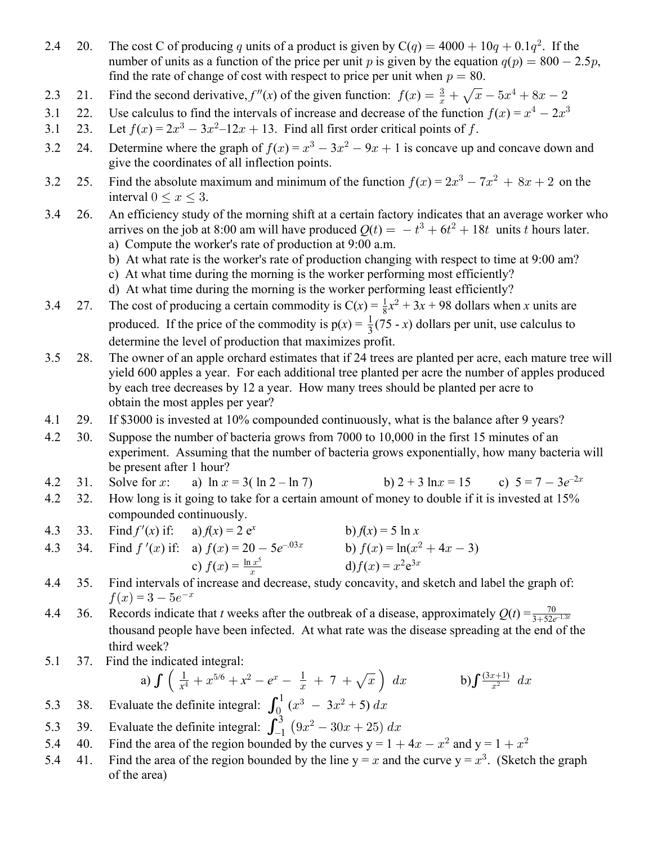- 2.4 20. The cost C of producing q units of a product is given by  $C(q) = 4000 + 10q + 0.1q^2$ . If the number of units as a function of the price per unit p is given by the equation  $q(p) = 800 - 2.5 p$ , find the rate of change of cost with respect to price per unit when  $p = 80$ .
- 2.3 21. Find the second derivative,  $f''(x)$  of the given function:  $f(x) = \frac{3}{x} + \sqrt{x} 5x^4 + 8x 2$
- 3.1 22. Use calculus to find the intervals of increase and decrease of the function  $f(x) = x^4 2x^3$
- 3.1 23. Let  $f(x) = 2x^3 3x^2 12x + 13$ . Find all first order critical points of f.
- 3.2 24. Determine where the graph of  $f(x) = x^3 3x^2 9x + 1$  is concave up and concave down and give the coordinates of all inflection points.
- 3.2 25. Find the absolute maximum and minimum of the function  $f(x) = 2x^3 7x^2 + 8x + 2$  on the interval  $0 \leq x \leq 3$ .
- 3.4 26. An efficiency study of the morning shift at a certain factory indicates that an average worker who arrives on the job at 8:00 am will have produced  $Q(t) = -t^3 + 6t^2 + 18t$  units t hours later.
	- a) Compute the worker's rate of production at 9:00 a.m.
	- b) At what rate is the worker's rate of production changing with respect to time at 9:00 am?
	- c) At what time during the morning is the worker performing most efficiently?
	- d) At what time during the morning is the worker performing least efficiently?
- 3.4 27. The cost of producing a certain commodity is  $C(x) = \frac{1}{8}x^2 + 3x + 98$  dollars when x units are  $\overline{c}$ produced. If the price of the commodity is  $p(x) = \frac{1}{2}(75 - x)$  dollars per unit, use calculus to 3 determine the level of production that maximizes profit.
- 3.5 28. The owner of an apple orchard estimates that if 24 trees are planted per acre, each mature tree will yield 600 apples a year. For each additional tree planted per acre the number of apples produced by each tree decreases by 12 a year. How many trees should be planted per acre to obtain the most apples per year?
- 4.1 29. If \$3000 is invested at 10% compounded continuously, what is the balance after 9 years?
- 4.2 30. Suppose the number of bacteria grows from 7000 to 10,000 in the first 15 minutes of an experiment. Assuming that the number of bacteria grows exponentially, how many bacteria will be present after 1 hour?
- 4.2 31. Solve for x: a)  $\ln x = 3(\ln 2 \ln 7)$  b)  $2 + 3 \ln x = 15$  c)  $5 = 7 3e^{-2x}$
- 4.2 32. How long is it going to take for a certain amount of money to double if it is invested at 15% compounded continuously.
- 4.3 33. Find  $f'(x)$  if: a)  $f(x) = 2 e^x$  b)  $f(x) = 5 \ln x$

4.3 34. Find 
$$
f'(x)
$$
 if:   
\na)  $f(x) = 20 - 5e^{-0.03x}$   
\nb)  $f(x) = \ln(x^2 + 4x - 3)$   
\nc)  $f(x) = \frac{\ln x^5}{x}$   
\nd)  $f(x) = x^2 e^{3x}$ 

- 4.4 35. Find intervals of increase and decrease, study concavity, and sketch and label the graph of:  $f(x) = 3 - 5e^{-x}$
- 4.4 36. Records indicate that t weeks after the outbreak of a disease, approximately  $Q(t) = \frac{70}{3 + 52e^{-1.3t}}$ thousand people have been infected. At what rate was the disease spreading at the end of the third week?
- 5.1 37. Find the indicated integral:

a) 
$$
\int \left( \frac{1}{x^4} + x^{5/6} + x^2 - e^x - \frac{1}{x} + 7 + \sqrt{x} \right) dx
$$
 b)  $\int \frac{(3x+1)}{x^2} dx$ 

- 5.3 38. Evaluate the definite integral:  $\int_0^1 (x^3 3x^2 + 5) dx$
- 5.3 39. Evaluate the definite integral:  $\int_{-1}^{3} (9x^2 30x + 25) dx$
- 5.4 40. Find the area of the region bounded by the curves  $y = 1 + 4x x^2$  and  $y = 1 + x^2$
- 5.4 41. Find the area of the region bounded by the line  $y = x$  and the curve  $y = x<sup>3</sup>$ . (Sketch the graph of the area)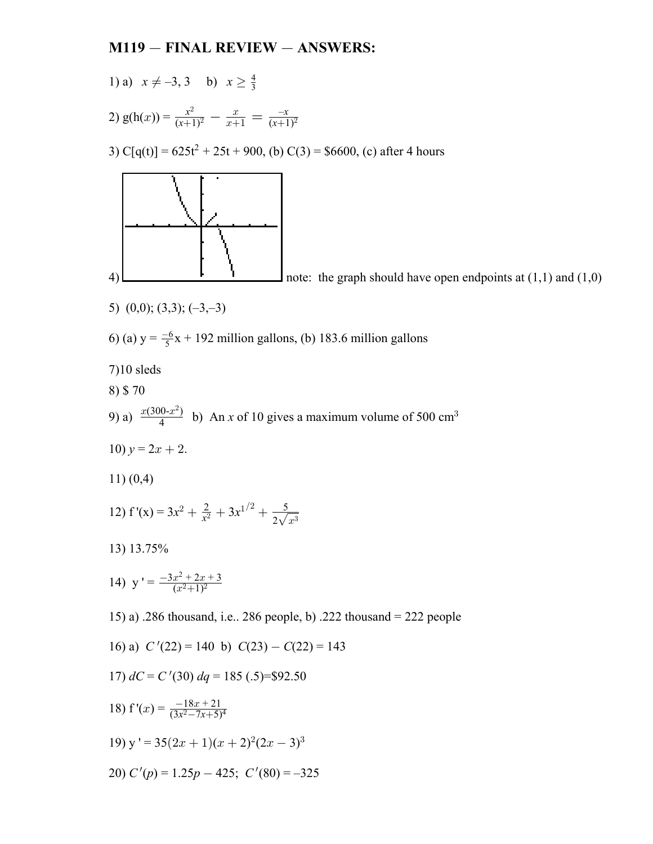## $M119 - FINAL REVIEW - ANSWERS:$

1) a) 
$$
x \neq -3, 3
$$
 b)  $x \geq \frac{4}{3}$ 

2) 
$$
g(h(x)) = \frac{x^2}{(x+1)^2} - \frac{x}{x+1} = \frac{-x}{(x+1)^2}
$$

3)  $C[q(t)] = 625t^2 + 25t + 900$ , (b)  $C(3) = $6600$ , (c) after 4 hours